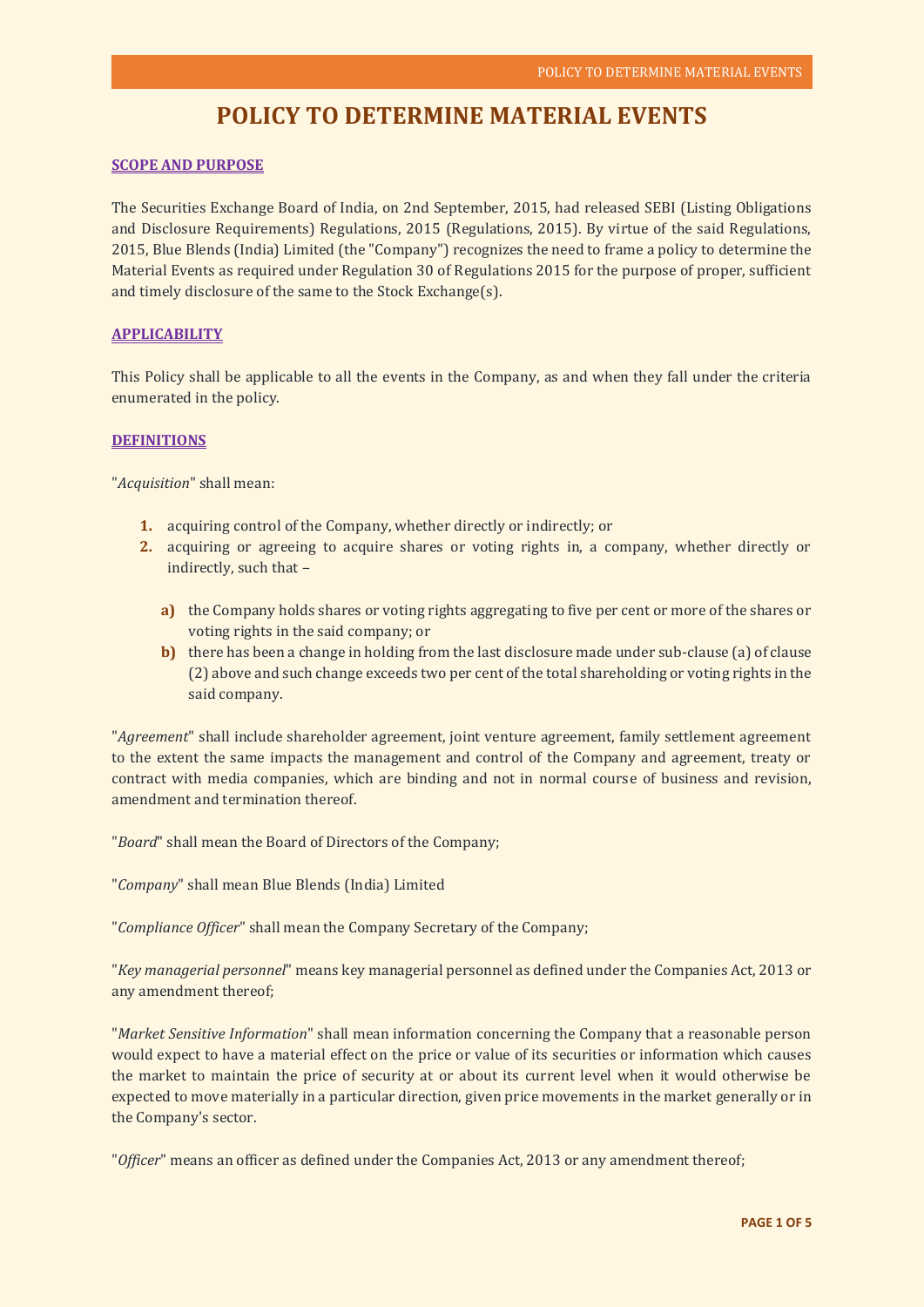# **POLICY TO DETERMINE MATERIAL EVENTS**

# **SCOPE AND PURPOSE**

The Securities Exchange Board of India, on 2nd September, 2015, had released SEBI (Listing Obligations and Disclosure Requirements) Regulations, 2015 (Regulations, 2015). By virtue of the said Regulations, 2015, Blue Blends (India) Limited (the "Company") recognizes the need to frame a policy to determine the Material Events as required under Regulation 30 of Regulations 2015 for the purpose of proper, sufficient and timely disclosure of the same to the Stock Exchange(s).

# **APPLICABILITY**

This Policy shall be applicable to all the events in the Company, as and when they fall under the criteria enumerated in the policy.

## **DEFINITIONS**

"*Acquisition*" shall mean:

- **1.** acquiring control of the Company, whether directly or indirectly; or
- **2.** acquiring or agreeing to acquire shares or voting rights in, a company, whether directly or indirectly, such that –
	- **a)** the Company holds shares or voting rights aggregating to five per cent or more of the shares or voting rights in the said company; or
	- **b)** there has been a change in holding from the last disclosure made under sub-clause (a) of clause (2) above and such change exceeds two per cent of the total shareholding or voting rights in the said company.

"*Agreement*" shall include shareholder agreement, joint venture agreement, family settlement agreement to the extent the same impacts the management and control of the Company and agreement, treaty or contract with media companies, which are binding and not in normal course of business and revision, amendment and termination thereof.

"*Board*" shall mean the Board of Directors of the Company;

"*Company*" shall mean Blue Blends (India) Limited

"*Compliance Officer*" shall mean the Company Secretary of the Company;

"*Key managerial personnel*" means key managerial personnel as defined under the Companies Act, 2013 or any amendment thereof;

"*Market Sensitive Information*" shall mean information concerning the Company that a reasonable person would expect to have a material effect on the price or value of its securities or information which causes the market to maintain the price of security at or about its current level when it would otherwise be expected to move materially in a particular direction, given price movements in the market generally or in the Company's sector.

"*Officer*" means an officer as defined under the Companies Act, 2013 or any amendment thereof;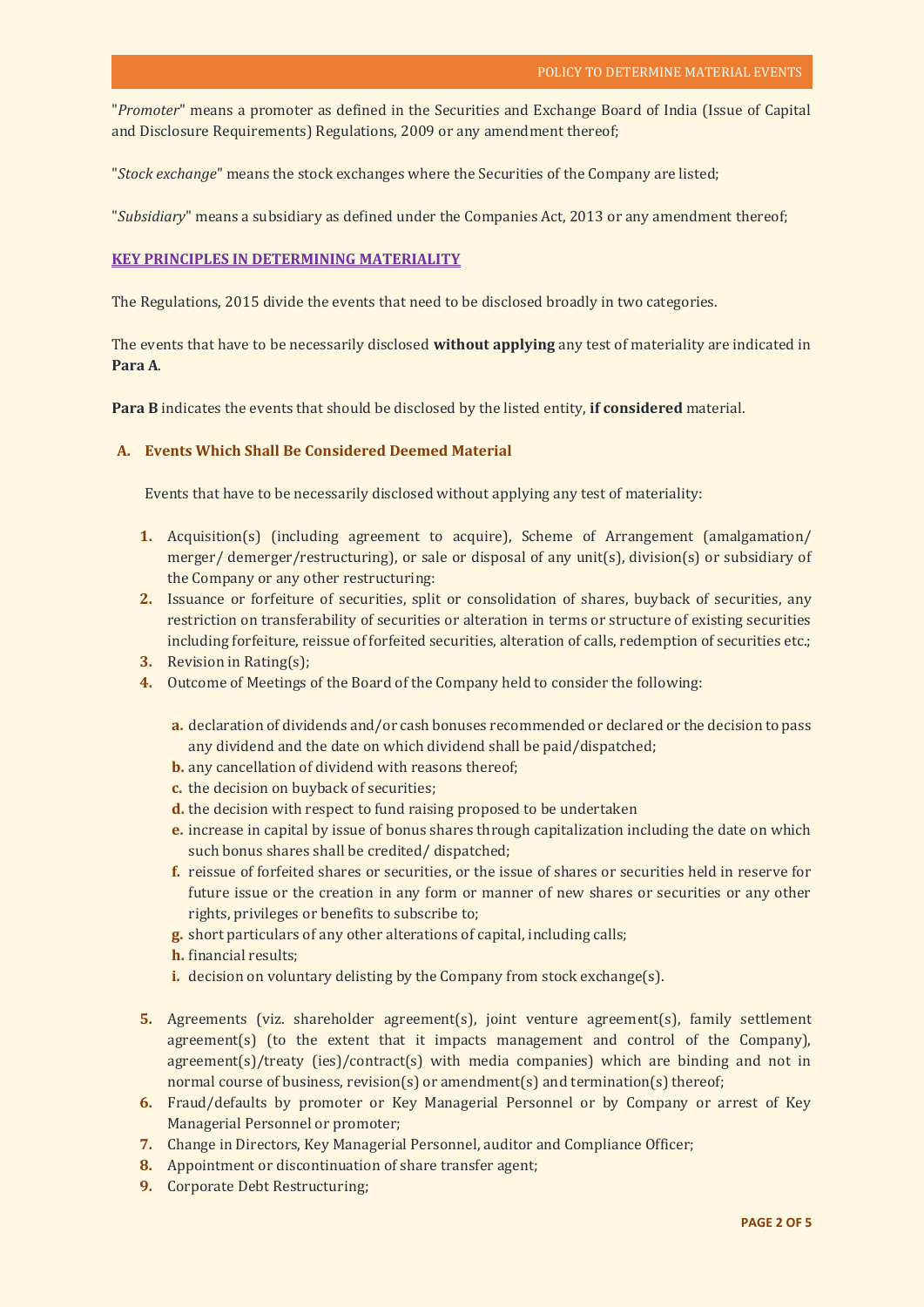"*Promoter*" means a promoter as defined in the Securities and Exchange Board of India (Issue of Capital and Disclosure Requirements) Regulations, 2009 or any amendment thereof;

"*Stock exchange*" means the stock exchanges where the Securities of the Company are listed;

"*Subsidiary*" means a subsidiary as defined under the Companies Act, 2013 or any amendment thereof;

## **KEY PRINCIPLES IN DETERMINING MATERIALITY**

The Regulations, 2015 divide the events that need to be disclosed broadly in two categories.

The events that have to be necessarily disclosed **without applying** any test of materiality are indicated in **Para A**.

**Para B** indicates the events that should be disclosed by the listed entity, **if considered** material.

# **A. Events Which Shall Be Considered Deemed Material**

Events that have to be necessarily disclosed without applying any test of materiality:

- **1.** Acquisition(s) (including agreement to acquire), Scheme of Arrangement (amalgamation/ merger/ demerger/restructuring), or sale or disposal of any unit(s), division(s) or subsidiary of the Company or any other restructuring:
- **2.** Issuance or forfeiture of securities, split or consolidation of shares, buyback of securities, any restriction on transferability of securities or alteration in terms or structure of existing securities including forfeiture, reissue of forfeited securities, alteration of calls, redemption of securities etc.;
- **3.** Revision in Rating(s);
- **4.** Outcome of Meetings of the Board of the Company held to consider the following:
	- **a.** declaration of dividends and/or cash bonuses recommended or declared or the decision to pass any dividend and the date on which dividend shall be paid/dispatched;
	- **b.** any cancellation of dividend with reasons thereof;
	- **c.** the decision on buyback of securities;
	- **d.** the decision with respect to fund raising proposed to be undertaken
	- **e.** increase in capital by issue of bonus shares through capitalization including the date on which such bonus shares shall be credited/ dispatched;
	- **f.** reissue of forfeited shares or securities, or the issue of shares or securities held in reserve for future issue or the creation in any form or manner of new shares or securities or any other rights, privileges or benefits to subscribe to;
	- **g.** short particulars of any other alterations of capital, including calls;
	- **h.** financial results;
	- **i.** decision on voluntary delisting by the Company from stock exchange(s).
- **5.** Agreements (viz. shareholder agreement(s), joint venture agreement(s), family settlement agreement(s) (to the extent that it impacts management and control of the Company), agreement(s)/treaty (ies)/contract(s) with media companies) which are binding and not in normal course of business, revision(s) or amendment(s) and termination(s) thereof;
- **6.** Fraud/defaults by promoter or Key Managerial Personnel or by Company or arrest of Key Managerial Personnel or promoter;
- **7.** Change in Directors, Key Managerial Personnel, auditor and Compliance Officer;
- **8.** Appointment or discontinuation of share transfer agent;
- **9.** Corporate Debt Restructuring;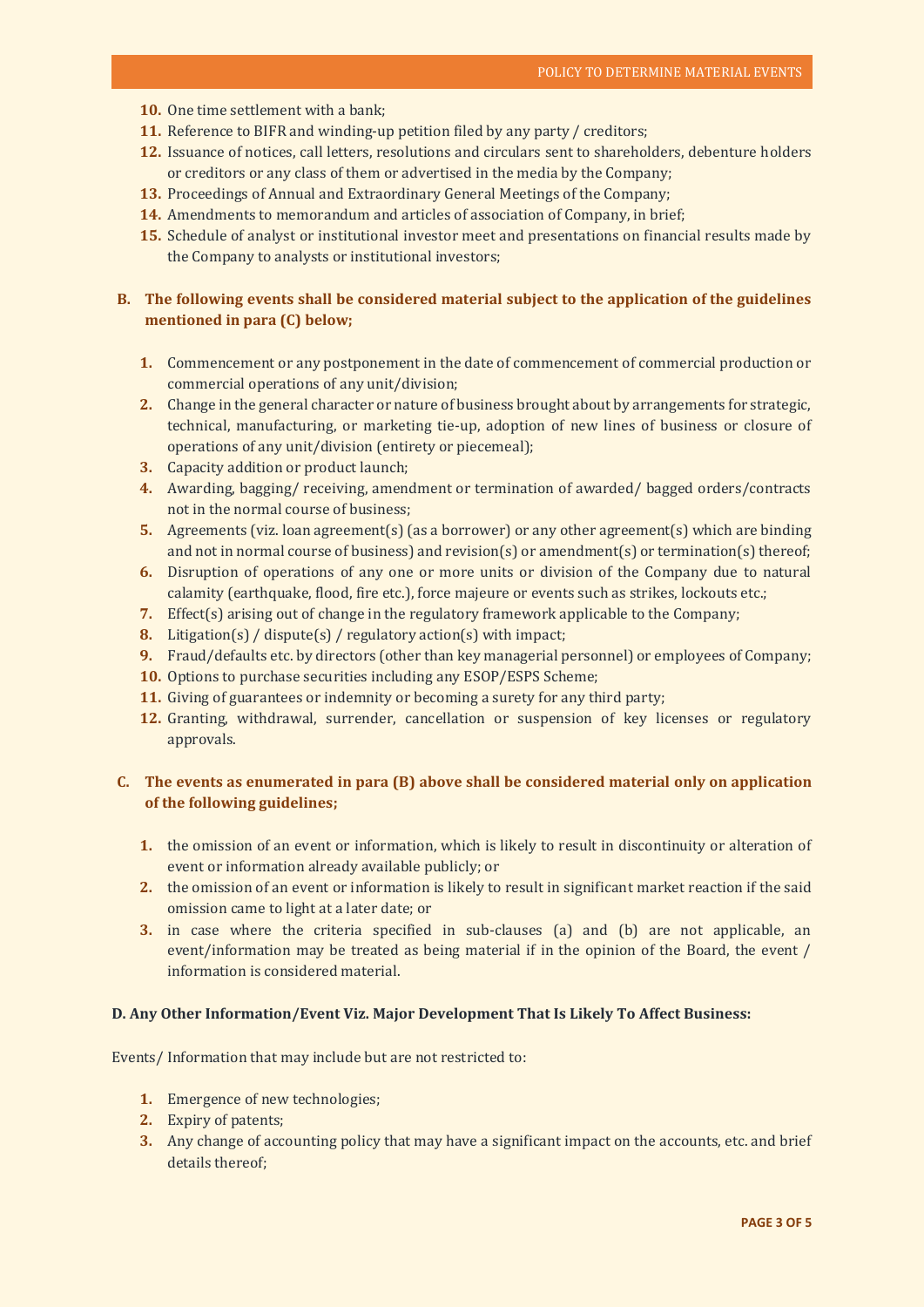- **10.** One time settlement with a bank;
- **11.** Reference to BIFR and winding-up petition filed by any party / creditors;
- **12.** Issuance of notices, call letters, resolutions and circulars sent to shareholders, debenture holders or creditors or any class of them or advertised in the media by the Company;
- **13.** Proceedings of Annual and Extraordinary General Meetings of the Company;
- **14.** Amendments to memorandum and articles of association of Company, in brief;
- **15.** Schedule of analyst or institutional investor meet and presentations on financial results made by the Company to analysts or institutional investors;

# **B. The following events shall be considered material subject to the application of the guidelines mentioned in para (C) below;**

- **1.** Commencement or any postponement in the date of commencement of commercial production or commercial operations of any unit/division;
- **2.** Change in the general character or nature of business brought about by arrangements for strategic, technical, manufacturing, or marketing tie‐up, adoption of new lines of business or closure of operations of any unit/division (entirety or piecemeal);
- **3.** Capacity addition or product launch;
- **4.** Awarding, bagging/ receiving, amendment or termination of awarded/ bagged orders/contracts not in the normal course of business;
- **5.** Agreements (viz. loan agreement(s) (as a borrower) or any other agreement(s) which are binding and not in normal course of business) and revision(s) or amendment(s) or termination(s) thereof;
- **6.** Disruption of operations of any one or more units or division of the Company due to natural calamity (earthquake, flood, fire etc.), force majeure or events such as strikes, lockouts etc.;
- **7.** Effect(s) arising out of change in the regulatory framework applicable to the Company;
- **8.** Litigation(s) / dispute(s) / regulatory action(s) with impact;
- **9.** Fraud/defaults etc. by directors (other than key managerial personnel) or employees of Company;
- **10.** Options to purchase securities including any ESOP/ESPS Scheme;
- **11.** Giving of guarantees or indemnity or becoming a surety for any third party;
- **12.** Granting, withdrawal, surrender, cancellation or suspension of key licenses or regulatory approvals.

# **C. The events as enumerated in para (B) above shall be considered material only on application of the following guidelines;**

- **1.** the omission of an event or information, which is likely to result in discontinuity or alteration of event or information already available publicly; or
- **2.** the omission of an event or information is likely to result in significant market reaction if the said omission came to light at a later date; or
- **3.** in case where the criteria specified in sub-clauses (a) and (b) are not applicable, an event/information may be treated as being material if in the opinion of the Board, the event / information is considered material.

## **D. Any Other Information/Event Viz. Major Development That Is Likely To Affect Business:**

Events/ Information that may include but are not restricted to:

- **1.** Emergence of new technologies;
- **2.** Expiry of patents;
- **3.** Any change of accounting policy that may have a significant impact on the accounts, etc. and brief details thereof;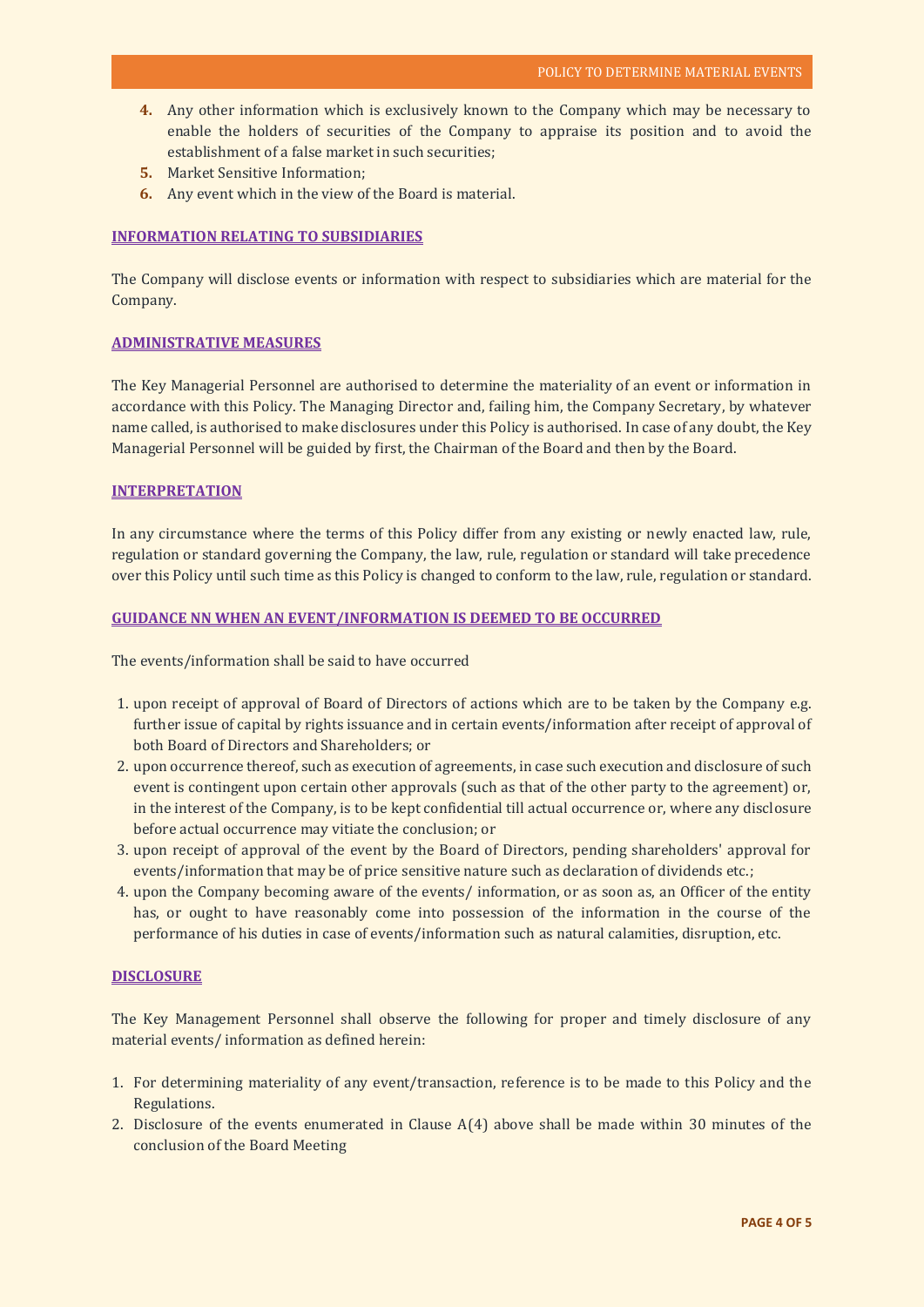- **4.** Any other information which is exclusively known to the Company which may be necessary to enable the holders of securities of the Company to appraise its position and to avoid the establishment of a false market in such securities;
- **5.** Market Sensitive Information;
- **6.** Any event which in the view of the Board is material.

## **INFORMATION RELATING TO SUBSIDIARIES**

The Company will disclose events or information with respect to subsidiaries which are material for the Company.

#### **ADMINISTRATIVE MEASURES**

The Key Managerial Personnel are authorised to determine the materiality of an event or information in accordance with this Policy. The Managing Director and, failing him, the Company Secretary, by whatever name called, is authorised to make disclosures under this Policy is authorised. In case of any doubt, the Key Managerial Personnel will be guided by first, the Chairman of the Board and then by the Board.

### **INTERPRETATION**

In any circumstance where the terms of this Policy differ from any existing or newly enacted law, rule, regulation or standard governing the Company, the law, rule, regulation or standard will take precedence over this Policy until such time as this Policy is changed to conform to the law, rule, regulation or standard.

#### **GUIDANCE NN WHEN AN EVENT/INFORMATION IS DEEMED TO BE OCCURRED**

The events/information shall be said to have occurred

- 1. upon receipt of approval of Board of Directors of actions which are to be taken by the Company e.g. further issue of capital by rights issuance and in certain events/information after receipt of approval of both Board of Directors and Shareholders; or
- 2. upon occurrence thereof, such as execution of agreements, in case such execution and disclosure of such event is contingent upon certain other approvals (such as that of the other party to the agreement) or, in the interest of the Company, is to be kept confidential till actual occurrence or, where any disclosure before actual occurrence may vitiate the conclusion; or
- 3. upon receipt of approval of the event by the Board of Directors, pending shareholders' approval for events/information that may be of price sensitive nature such as declaration of dividends etc.;
- 4. upon the Company becoming aware of the events/ information, or as soon as, an Officer of the entity has, or ought to have reasonably come into possession of the information in the course of the performance of his duties in case of events/information such as natural calamities, disruption, etc.

#### **DISCLOSURE**

The Key Management Personnel shall observe the following for proper and timely disclosure of any material events/ information as defined herein:

- 1. For determining materiality of any event/transaction, reference is to be made to this Policy and the Regulations.
- 2. Disclosure of the events enumerated in Clause  $A(4)$  above shall be made within 30 minutes of the conclusion of the Board Meeting